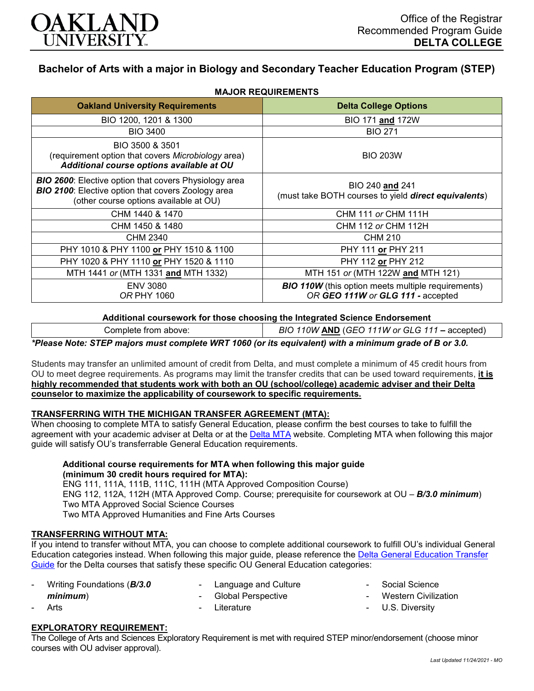

# **Bachelor of Arts with a major in Biology and Secondary Teacher Education Program (STEP)**

| <b>Oakland University Requirements</b>                                                                                                                              | <b>Delta College Options</b>                                                                   |  |  |  |  |  |  |
|---------------------------------------------------------------------------------------------------------------------------------------------------------------------|------------------------------------------------------------------------------------------------|--|--|--|--|--|--|
| BIO 1200, 1201 & 1300                                                                                                                                               | BIO 171 and 172W                                                                               |  |  |  |  |  |  |
| <b>BIO 3400</b>                                                                                                                                                     | <b>BIO 271</b>                                                                                 |  |  |  |  |  |  |
| BIO 3500 & 3501<br>(requirement option that covers Microbiology area)<br>Additional course options available at OU                                                  | <b>BIO 203W</b>                                                                                |  |  |  |  |  |  |
| <b>BIO 2600:</b> Elective option that covers Physiology area<br><b>BIO 2100:</b> Elective option that covers Zoology area<br>(other course options available at OU) | BIO 240 and 241<br>(must take BOTH courses to yield direct equivalents)                        |  |  |  |  |  |  |
| CHM 1440 & 1470                                                                                                                                                     | <b>CHM 111 or CHM 111H</b>                                                                     |  |  |  |  |  |  |
| CHM 1450 & 1480                                                                                                                                                     | CHM 112 or CHM 112H                                                                            |  |  |  |  |  |  |
| CHM 2340                                                                                                                                                            | <b>CHM 210</b>                                                                                 |  |  |  |  |  |  |
| PHY 1010 & PHY 1100 or PHY 1510 & 1100                                                                                                                              | PHY 111 or PHY 211                                                                             |  |  |  |  |  |  |
| PHY 1020 & PHY 1110 or PHY 1520 & 1110                                                                                                                              | PHY 112 or PHY 212                                                                             |  |  |  |  |  |  |
| MTH 1441 or (MTH 1331 and MTH 1332)                                                                                                                                 | MTH 151 or (MTH 122W and MTH 121)                                                              |  |  |  |  |  |  |
| <b>ENV 3080</b><br><i>OR PHY 1060</i>                                                                                                                               | <b>BIO 110W</b> (this option meets multiple requirements)<br>OR GEO 111W or GLG 111 - accepted |  |  |  |  |  |  |

## **MAJOR REQUIREMENTS**

**Additional coursework for those choosing the Integrated Science Endorsement**

Complete from above: *BIO 110W* **AND** (*GEO 111W or GLG 111 –* accepted)

*\*Please Note: STEP majors must complete WRT 1060 (or its equivalent) with a minimum grade of B or 3.0.*

Students may transfer an unlimited amount of credit from Delta, and must complete a minimum of 45 credit hours from OU to meet degree requirements. As programs may limit the transfer credits that can be used toward requirements, **it is highly recommended that students work with both an OU (school/college) academic adviser and their Delta counselor to maximize the applicability of coursework to specific requirements.**

#### **TRANSFERRING WITH THE MICHIGAN TRANSFER AGREEMENT (MTA):**

When choosing to complete MTA to satisfy General Education, please confirm the best courses to take to fulfill the agreement with your academic adviser at Delta or at the [Delta MTA](http://catalog.delta.edu/content.php?catoid=10&navoid=1320&hl=MTA&returnto=search) website. Completing MTA when following this major guide will satisfy OU's transferrable General Education requirements.

### **Additional course requirements for MTA when following this major guide (minimum 30 credit hours required for MTA):**

ENG 111, 111A, 111B, 111C, 111H (MTA Approved Composition Course) ENG 112, 112A, 112H (MTA Approved Comp. Course; prerequisite for coursework at OU – *B/3.0 minimum*) Two MTA Approved Social Science Courses Two MTA Approved Humanities and Fine Arts Courses

#### **TRANSFERRING WITHOUT MTA:**

If you intend to transfer without MTA, you can choose to complete additional coursework to fulfill OU's individual General Education categories instead. When following this major guide, please reference the [Delta General Education Transfer](https://www.oakland.edu/Assets/Oakland/program-guides/delta-college/university-general-education-requirements/Delta%20Gen%20Ed.pdf)  [Guide](https://www.oakland.edu/Assets/Oakland/program-guides/delta-college/university-general-education-requirements/Delta%20Gen%20Ed.pdf) for the Delta courses that satisfy these specific OU General Education categories:

| - Writing Foundations ( <b>B/3.0</b> |        | - Language and Culture | - Social Science       |
|--------------------------------------|--------|------------------------|------------------------|
| minimum)                             |        | - Global Perspective   | - Western Civilization |
| Arts                                 | $\sim$ | Literature             | - U.S. Diversity       |
|                                      |        |                        |                        |

## **EXPLORATORY REQUIREMENT:**

The College of Arts and Sciences Exploratory Requirement is met with required STEP minor/endorsement (choose minor courses with OU adviser approval).